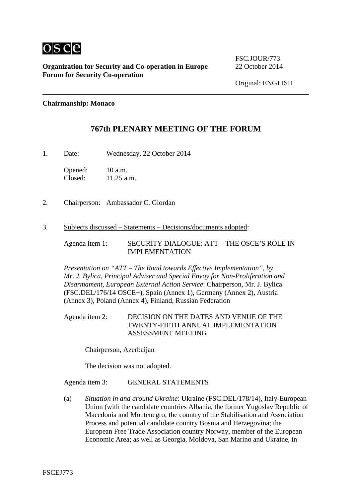

**Organization for Security and Co-operation in Europe** 22 October 2014 **Forum for Security Co-operation**

FSC.JOUR/773

### **Chairmanship: Monaco**

## **767th PLENARY MEETING OF THE FORUM**

1. Date: Wednesday, 22 October 2014

Opened: 10 a.m.<br>Closed: 11.25 a.  $11.25$  a.m.

- 2. Chairperson: Ambassador C. Giordan
- 3. Subjects discussed Statements Decisions/documents adopted:

Agenda item 1: SECURITY DIALOGUE: ATT – THE OSCE'S ROLE IN IMPLEMENTATION

*Presentation on "ATT – The Road towards Effective Implementation", by Mr. J. Bylica, Principal Adviser and Special Envoy for Non-Proliferation and Disarmament, European External Action Service*: Chairperson, Mr. J. Bylica (FSC.DEL/176/14 OSCE+), Spain (Annex 1), Germany (Annex 2), Austria (Annex 3), Poland (Annex 4), Finland, Russian Federation

Agenda item 2: DECISION ON THE DATES AND VENUE OF THE TWENTY-FIFTH ANNUAL IMPLEMENTATION ASSESSMENT MEETING

Chairperson, Azerbaijan

The decision was not adopted.

### Agenda item 3: GENERAL STATEMENTS

(a) *Situation in and around Ukraine*: Ukraine (FSC.DEL/178/14), Italy-European Union (with the candidate countries Albania, the former Yugoslav Republic of Macedonia and Montenegro; the country of the Stabilisation and Association Process and potential candidate country Bosnia and Herzegovina; the European Free Trade Association country Norway, member of the European Economic Area; as well as Georgia, Moldova, San Marino and Ukraine, in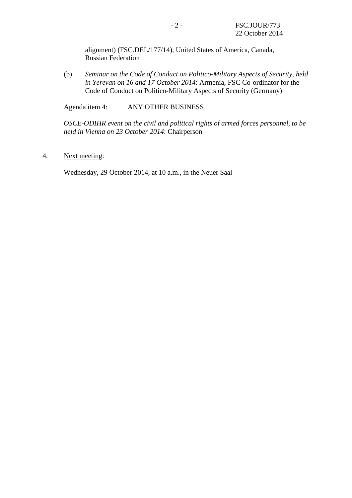alignment) (FSC.DEL/177/14), United States of America, Canada, Russian Federation

(b) *Seminar on the Code of Conduct on Politico-Military Aspects of Security, held in Yerevan on 16 and 17 October 2014*: Armenia, FSC Co-ordinator for the Code of Conduct on Politico-Military Aspects of Security (Germany)

Agenda item 4: ANY OTHER BUSINESS

*OSCE-ODIHR event on the civil and political rights of armed forces personnel, to be held in Vienna on 23 October 2014*: Chairperson

4. Next meeting:

Wednesday, 29 October 2014, at 10 a.m., in the Neuer Saal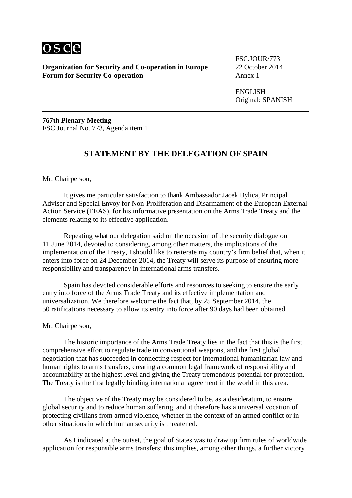

**Organization for Security and Co-operation in Europe** 22 October 2014 **Forum for Security Co-operation** 

FSC.JOUR/773

ENGLISH Original: SPANISH

**767th Plenary Meeting** FSC Journal No. 773, Agenda item 1

# **STATEMENT BY THE DELEGATION OF SPAIN**

### Mr. Chairperson,

It gives me particular satisfaction to thank Ambassador Jacek Bylica, Principal Adviser and Special Envoy for Non-Proliferation and Disarmament of the European External Action Service (EEAS), for his informative presentation on the Arms Trade Treaty and the elements relating to its effective application.

Repeating what our delegation said on the occasion of the security dialogue on 11 June 2014, devoted to considering, among other matters, the implications of the implementation of the Treaty, I should like to reiterate my country's firm belief that, when it enters into force on 24 December 2014, the Treaty will serve its purpose of ensuring more responsibility and transparency in international arms transfers.

Spain has devoted considerable efforts and resources to seeking to ensure the early entry into force of the Arms Trade Treaty and its effective implementation and universalization. We therefore welcome the fact that, by 25 September 2014, the 50 ratifications necessary to allow its entry into force after 90 days had been obtained.

#### Mr. Chairperson,

The historic importance of the Arms Trade Treaty lies in the fact that this is the first comprehensive effort to regulate trade in conventional weapons, and the first global negotiation that has succeeded in connecting respect for international humanitarian law and human rights to arms transfers, creating a common legal framework of responsibility and accountability at the highest level and giving the Treaty tremendous potential for protection. The Treaty is the first legally binding international agreement in the world in this area.

The objective of the Treaty may be considered to be, as a desideratum, to ensure global security and to reduce human suffering, and it therefore has a universal vocation of protecting civilians from armed violence, whether in the context of an armed conflict or in other situations in which human security is threatened.

As I indicated at the outset, the goal of States was to draw up firm rules of worldwide application for responsible arms transfers; this implies, among other things, a further victory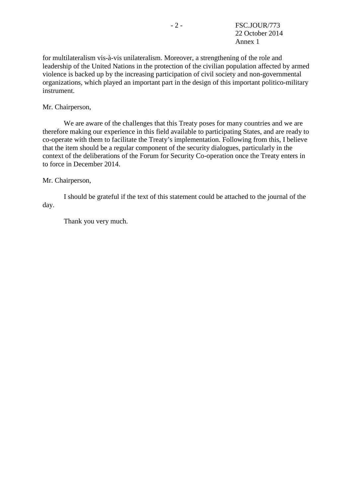for multilateralism vis-à-vis unilateralism. Moreover, a strengthening of the role and leadership of the United Nations in the protection of the civilian population affected by armed violence is backed up by the increasing participation of civil society and non-governmental organizations, which played an important part in the design of this important politico-military instrument.

Mr. Chairperson,

We are aware of the challenges that this Treaty poses for many countries and we are therefore making our experience in this field available to participating States, and are ready to co-operate with them to facilitate the Treaty's implementation. Following from this, I believe that the item should be a regular component of the security dialogues, particularly in the context of the deliberations of the Forum for Security Co-operation once the Treaty enters in to force in December 2014.

### Mr. Chairperson,

I should be grateful if the text of this statement could be attached to the journal of the day.

Thank you very much.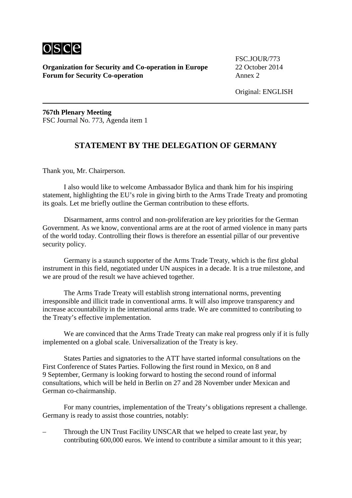

**Organization for Security and Co-operation in Europe** 22 October 2014 **Forum for Security Co-operation** Annex 2

FSC.JOUR/773

**767th Plenary Meeting** FSC Journal No. 773, Agenda item 1

## **STATEMENT BY THE DELEGATION OF GERMANY**

Thank you, Mr. Chairperson.

I also would like to welcome Ambassador Bylica and thank him for his inspiring statement, highlighting the EU's role in giving birth to the Arms Trade Treaty and promoting its goals. Let me briefly outline the German contribution to these efforts.

Disarmament, arms control and non-proliferation are key priorities for the German Government. As we know, conventional arms are at the root of armed violence in many parts of the world today. Controlling their flows is therefore an essential pillar of our preventive security policy.

Germany is a staunch supporter of the Arms Trade Treaty, which is the first global instrument in this field, negotiated under UN auspices in a decade. It is a true milestone, and we are proud of the result we have achieved together.

The Arms Trade Treaty will establish strong international norms, preventing irresponsible and illicit trade in conventional arms. It will also improve transparency and increase accountability in the international arms trade. We are committed to contributing to the Treaty's effective implementation.

We are convinced that the Arms Trade Treaty can make real progress only if it is fully implemented on a global scale. Universalization of the Treaty is key.

States Parties and signatories to the ATT have started informal consultations on the First Conference of States Parties. Following the first round in Mexico, on 8 and 9 September, Germany is looking forward to hosting the second round of informal consultations, which will be held in Berlin on 27 and 28 November under Mexican and German co-chairmanship.

For many countries, implementation of the Treaty's obligations represent a challenge. Germany is ready to assist those countries, notably:

– Through the UN Trust Facility UNSCAR that we helped to create last year, by contributing 600,000 euros. We intend to contribute a similar amount to it this year;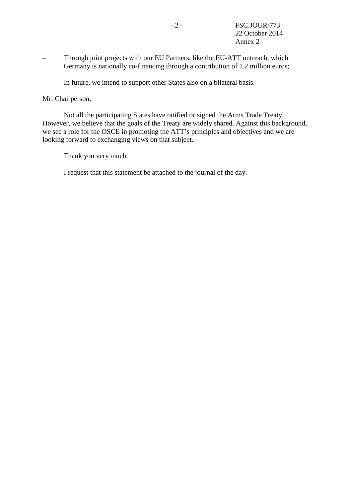- Through joint projects with our EU Partners, like the EU-ATT outreach, which Germany is nationally co-financing through a contribution of 1.2 million euros;
- In future, we intend to support other States also on a bilateral basis.

Mr. Chairperson,

Not all the participating States have ratified or signed the Arms Trade Treaty. However, we believe that the goals of the Treaty are widely shared. Against this background, we see a role for the OSCE in promoting the ATT's principles and objectives and we are looking forward to exchanging views on that subject.

Thank you very much.

I request that this statement be attached to the journal of the day.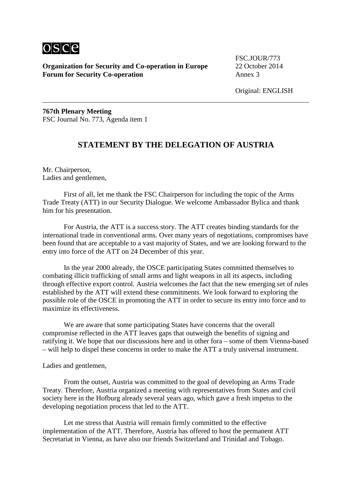

**Organization for Security and Co-operation in Europe** 22 October 2014 **Forum for Security Co-operation** Annex 3

FSC.JOUR/773

Original: ENGLISH

**767th Plenary Meeting** FSC Journal No. 773, Agenda item 1

## **STATEMENT BY THE DELEGATION OF AUSTRIA**

Mr. Chairperson, Ladies and gentlemen,

First of all, let me thank the FSC Chairperson for including the topic of the Arms Trade Treaty (ATT) in our Security Dialogue. We welcome Ambassador Bylica and thank him for his presentation.

For Austria, the ATT is a success story. The ATT creates binding standards for the international trade in conventional arms. Over many years of negotiations, compromises have been found that are acceptable to a vast majority of States, and we are looking forward to the entry into force of the ATT on 24 December of this year.

In the year 2000 already, the OSCE participating States committed themselves to combating illicit trafficking of small arms and light weapons in all its aspects, including through effective export control. Austria welcomes the fact that the new emerging set of rules established by the ATT will extend these commitments. We look forward to exploring the possible role of the OSCE in promoting the ATT in order to secure its entry into force and to maximize its effectiveness.

We are aware that some participating States have concerns that the overall compromise reflected in the ATT leaves gaps that outweigh the benefits of signing and ratifying it. We hope that our discussions here and in other fora – some of them Vienna-based – will help to dispel these concerns in order to make the ATT a truly universal instrument.

Ladies and gentlemen,

From the outset, Austria was committed to the goal of developing an Arms Trade Treaty. Therefore, Austria organized a meeting with representatives from States and civil society here in the Hofburg already several years ago, which gave a fresh impetus to the developing negotiation process that led to the ATT.

Let me stress that Austria will remain firmly committed to the effective implementation of the ATT. Therefore, Austria has offered to host the permanent ATT Secretariat in Vienna, as have also our friends Switzerland and Trinidad and Tobago.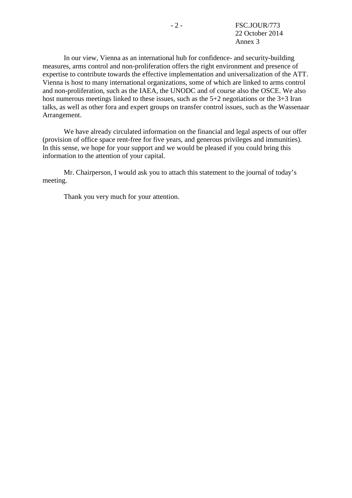In our view, Vienna as an international hub for confidence- and security-building measures, arms control and non-proliferation offers the right environment and presence of expertise to contribute towards the effective implementation and universalization of the ATT. Vienna is host to many international organizations, some of which are linked to arms control and non-proliferation, such as the IAEA, the UNODC and of course also the OSCE. We also host numerous meetings linked to these issues, such as the 5+2 negotiations or the 3+3 Iran talks, as well as other fora and expert groups on transfer control issues, such as the Wassenaar Arrangement.

We have already circulated information on the financial and legal aspects of our offer (provision of office space rent-free for five years, and generous privileges and immunities). In this sense, we hope for your support and we would be pleased if you could bring this information to the attention of your capital.

Mr. Chairperson, I would ask you to attach this statement to the journal of today's meeting.

Thank you very much for your attention.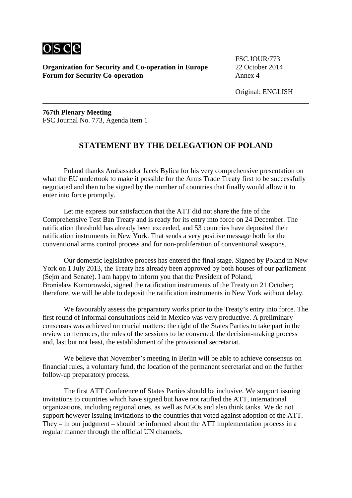

**Organization for Security and Co-operation in Europe** 22 October 2014 **Forum for Security Co-operation** Annex 4

FSC.JOUR/773

**767th Plenary Meeting** FSC Journal No. 773, Agenda item 1

# **STATEMENT BY THE DELEGATION OF POLAND**

Poland thanks Ambassador Jacek Bylica for his very comprehensive presentation on what the EU undertook to make it possible for the Arms Trade Treaty first to be successfully negotiated and then to be signed by the number of countries that finally would allow it to enter into force promptly.

Let me express our satisfaction that the ATT did not share the fate of the Comprehensive Test Ban Treaty and is ready for its entry into force on 24 December. The ratification threshold has already been exceeded, and 53 countries have deposited their ratification instruments in New York. That sends a very positive message both for the conventional arms control process and for non-proliferation of conventional weapons.

Our domestic legislative process has entered the final stage. Signed by Poland in New York on 1 July 2013, the Treaty has already been approved by both houses of our parliament (Sejm and Senate). I am happy to inform you that the President of Poland, Bronisław Komorowski, signed the ratification instruments of the Treaty on 21 October; therefore, we will be able to deposit the ratification instruments in New York without delay.

We favourably assess the preparatory works prior to the Treaty's entry into force. The first round of informal consultations held in Mexico was very productive. A preliminary consensus was achieved on crucial matters: the right of the States Parties to take part in the review conferences, the rules of the sessions to be convened, the decision-making process and, last but not least, the establishment of the provisional secretariat.

We believe that November's meeting in Berlin will be able to achieve consensus on financial rules, a voluntary fund, the location of the permanent secretariat and on the further follow-up preparatory process.

The first ATT Conference of States Parties should be inclusive. We support issuing invitations to countries which have signed but have not ratified the ATT, international organizations, including regional ones, as well as NGOs and also think tanks. We do not support however issuing invitations to the countries that voted against adoption of the ATT. They – in our judgment – should be informed about the ATT implementation process in a regular manner through the official UN channels.